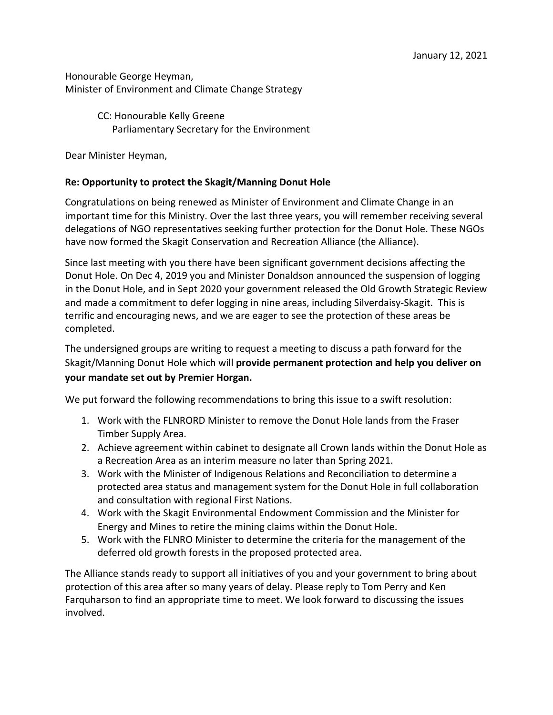Honourable George Heyman, Minister of Environment and Climate Change Strategy

> CC: Honourable Kelly Greene Parliamentary Secretary for the Environment

Dear Minister Heyman,

## **Re: Opportunity to protect the Skagit/Manning Donut Hole**

Congratulations on being renewed as Minister of Environment and Climate Change in an important time for this Ministry. Over the last three years, you will remember receiving several delegations of NGO representatives seeking further protection for the Donut Hole. These NGOs have now formed the Skagit Conservation and Recreation Alliance (the Alliance).

Since last meeting with you there have been significant government decisions affecting the Donut Hole. On Dec 4, 2019 you and Minister Donaldson announced the suspension of logging in the Donut Hole, and in Sept 2020 your government released the Old Growth Strategic Review and made a commitment to defer logging in nine areas, including Silverdaisy-Skagit. This is terrific and encouraging news, and we are eager to see the protection of these areas be completed.

The undersigned groups are writing to request a meeting to discuss a path forward for the Skagit/Manning Donut Hole which will **provide permanent protection and help you deliver on your mandate set out by Premier Horgan.**

We put forward the following recommendations to bring this issue to a swift resolution:

- 1. Work with the FLNRORD Minister to remove the Donut Hole lands from the Fraser Timber Supply Area.
- 2. Achieve agreement within cabinet to designate all Crown lands within the Donut Hole as a Recreation Area as an interim measure no later than Spring 2021.
- 3. Work with the Minister of Indigenous Relations and Reconciliation to determine a protected area status and management system for the Donut Hole in full collaboration and consultation with regional First Nations.
- 4. Work with the Skagit Environmental Endowment Commission and the Minister for Energy and Mines to retire the mining claims within the Donut Hole.
- 5. Work with the FLNRO Minister to determine the criteria for the management of the deferred old growth forests in the proposed protected area.

The Alliance stands ready to support all initiatives of you and your government to bring about protection of this area after so many years of delay. Please reply to Tom Perry and Ken Farquharson to find an appropriate time to meet. We look forward to discussing the issues involved.